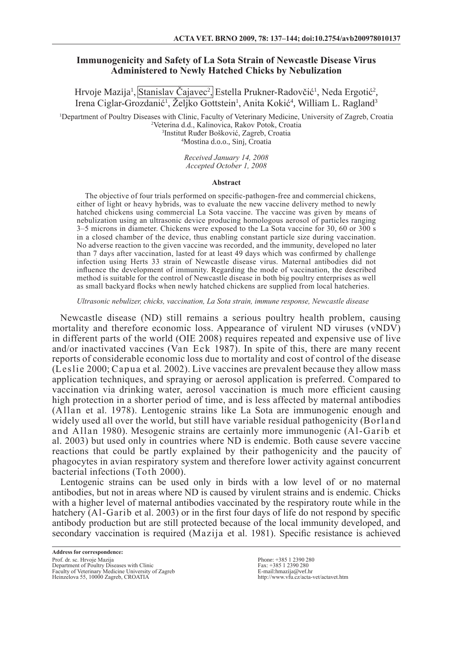# **Immunogenicity and Safety of La Sota Strain of Newcastle Disease Virus Administered to Newly Hatched Chicks by Nebulization**

Hrvoje Mazija<sup>1</sup>, Stanislav Cajavec<sup>2</sup>, Estella Prukner-Radovčić<sup>1</sup>, Neda Ergotić<sup>2</sup>, Irena Ciglar-Grozdanić<sup>1</sup>, Zeljko Gottstein<sup>1</sup>, Anita Kokić<sup>4</sup>, William L. Ragland<sup>3</sup>

 Department of Poultry Diseases with Clinic, Faculty of Veterinary Medicine, University of Zagreb, Croatia Veterina d.d., Kalinovica, Rakov Potok, Croatia Institut Ruđer Bošković, Zagreb, Croatia Mostina d.o.o., Sinj, Croatia

> *Received January 14, 2008 Accepted October 1, 2008*

### **Abstract**

The objective of four trials performed on specific-pathogen-free and commercial chickens, either of light or heavy hybrids, was to evaluate the new vaccine delivery method to newly hatched chickens using commercial La Sota vaccine. The vaccine was given by means of nebulization using an ultrasonic device producing homologous aerosol of particles ranging 3–5 microns in diameter. Chickens were exposed to the La Sota vaccine for 30, 60 or 300 s in a closed chamber of the device, thus enabling constant particle size during vaccination. No adverse reaction to the given vaccine was recorded, and the immunity, developed no later than 7 days after vaccination, lasted for at least 49 days which was confirmed by challenge infection using Herts 33 strain of Newcastle disease virus. Maternal antibodies did not influence the development of immunity. Regarding the mode of vaccination, the described method is suitable for the control of Newcastle disease in both big poultry enterprises as well as small backyard flocks when newly hatched chickens are supplied from local hatcheries.

*Ultrasonic nebulizer, chicks, vaccination, La Sota strain, immune response, Newcastle disease*

Newcastle disease (ND) still remains a serious poultry health problem, causing mortality and therefore economic loss. Appearance of virulent ND viruses (vNDV) in different parts of the world (OIE 2008) requires repeated and expensive use of live and/or inactivated vaccines (Van Eck 1987). In spite of this, there are many recent reports of considerable economic loss due to mortality and cost of control of the disease (Leslie 2000; Capua et al*.* 2002). Live vaccines are prevalent because they allow mass application techniques, and spraying or aerosol application is preferred. Compared to vaccination via drinking water, aerosol vaccination is much more efficient causing high protection in a shorter period of time, and is less affected by maternal antibodies (Allan et al. 1978). Lentogenic strains like La Sota are immunogenic enough and widely used all over the world, but still have variable residual pathogenicity (Borland and Allan 1980). Mesogenic strains are certainly more immunogenic (Al-Garib et al. 2003) but used only in countries where ND is endemic. Both cause severe vaccine reactions that could be partly explained by their pathogenicity and the paucity of phagocytes in avian respiratory system and therefore lower activity against concurrent bacterial infections (Toth 2000).

Lentogenic strains can be used only in birds with a low level of or no maternal antibodies, but not in areas where ND is caused by virulent strains and is endemic. Chicks with a higher level of maternal antibodies vaccinated by the respiratory route while in the hatchery (Al-Garib et al. 2003) or in the first four days of life do not respond by specific antibody production but are still protected because of the local immunity developed, and secondary vaccination is required (Mazija et al. 1981). Specific resistance is achieved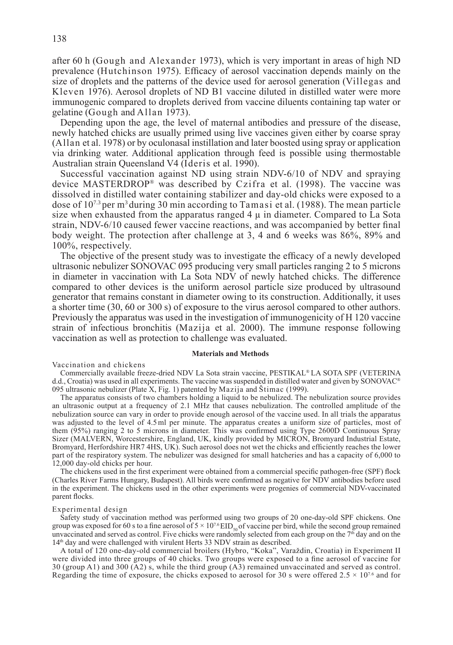after 60 h (Gough and Alexander 1973), which is very important in areas of high ND prevalence (Hutchinson 1975). Efficacy of aerosol vaccination depends mainly on the size of droplets and the patterns of the device used for aerosol generation (Villegas and Kleven 1976). Aerosol droplets of ND B1 vaccine diluted in distilled water were more immunogenic compared to droplets derived from vaccine diluents containing tap water or gelatine (Gough and Allan 1973).

Depending upon the age, the level of maternal antibodies and pressure of the disease, newly hatched chicks are usually primed using live vaccines given either by coarse spray (Allan et al. 1978) or by oculonasal instillation and later boosted using spray or application via drinking water. Additional application through feed is possible using thermostable Australian strain Queensland V4 (Ideris et al. 1990).

Successful vaccination against ND using strain NDV-6/10 of NDV and spraying device MASTERDROP® was described by Czifra et al. (1998). The vaccine was dissolved in distilled water containing stabilizer and day-old chicks were exposed to a dose of 107.3 per m3 during 30 min according to Tamasi et al. (1988). The mean particle size when exhausted from the apparatus ranged  $4 \mu$  in diameter. Compared to La Sota strain, NDV-6/10 caused fewer vaccine reactions, and was accompanied by better final body weight. The protection after challenge at 3, 4 and 6 weeks was 86%, 89% and 100%, respectively.

The objective of the present study was to investigate the efficacy of a newly developed ultrasonic nebulizer SONOVAC 095 producing very small particles ranging 2 to 5 microns in diameter in vaccination with La Sota NDV of newly hatched chicks. The difference compared to other devices is the uniform aerosol particle size produced by ultrasound generator that remains constant in diameter owing to its construction. Additionally, it uses a shorter time (30, 60 or 300 s) of exposure to the virus aerosol compared to other authors. Previously the apparatus was used in the investigation of immunogenicity of H 120 vaccine strain of infectious bronchitis (Mazija et al. 2000). The immune response following vaccination as well as protection to challenge was evaluated.

#### **Materials and Methods**

Vaccination and chickens

Commercially available freeze-dried NDV La Sota strain vaccine, PESTIKAL® LA SOTA SPF (VETERINA d.d., Croatia) was used in all experiments. The vaccine was suspended in distilled water and given by SONOVAC® 095 ultrasonic nebulizer (Plate X, Fig. 1) patented by Mazija and Štimac (1999).

The apparatus consists of two chambers holding a liquid to be nebulized. The nebulization source provides an ultrasonic output at a frequency of 2.1 MHz that causes nebulization. The controlled amplitude of the nebulization source can vary in order to provide enough aerosol of the vaccine used. In all trials the apparatus was adjusted to the level of 4.5ml per minute. The apparatus creates a uniform size of particles, most of them (95%) ranging 2 to 5 microns in diameter. This was confirmed using Type 2600D Continuous Spray Sizer (MALVERN, Worcestershire, England, UK, kindly provided by MICRON, Bromyard Industrial Estate, Bromyard, Herfordshire HR7 4HS, UK). Such aerosol does not wet the chicks and efficiently reaches the lower part of the respiratory system. The nebulizer was designed for small hatcheries and has a capacity of 6,000 to 12,000 day-old chicks per hour.

The chickens used in the first experiment were obtained from a commercial specific pathogen-free (SPF) flock (Charles River Farms Hungary, Budapest). All birds were confirmed as negative for NDV antibodies before used in the experiment. The chickens used in the other experiments were progenies of commercial NDV-vaccinated parent flocks.

#### Experimental design

Safety study of vaccination method was performed using two groups of 20 one-day-old SPF chickens. One group was exposed for 60 s to a fine aerosol of  $5 \times 10^{7.6}$  EID<sub>50</sub> of vaccine per bird, while the second group remained unvaccinated and served as control. Five chicks were randomly selected from each group on the  $7<sup>th</sup>$  day and on the 14<sup>th</sup> day and were challenged with virulent Herts 33 NDV strain as described.

A total of 120 one-day-old commercial broilers (Hybro, "Koka", Varaždin, Croatia) in Experiment II were divided into three groups of 40 chicks. Two groups were exposed to a fine aerosol of vaccine for 30 (group A1) and 300 (A2) s, while the third group (A3) remained unvaccinated and served as control. Regarding the time of exposure, the chicks exposed to aerosol for 30 s were offered  $2.5 \times 10^{7.6}$  and for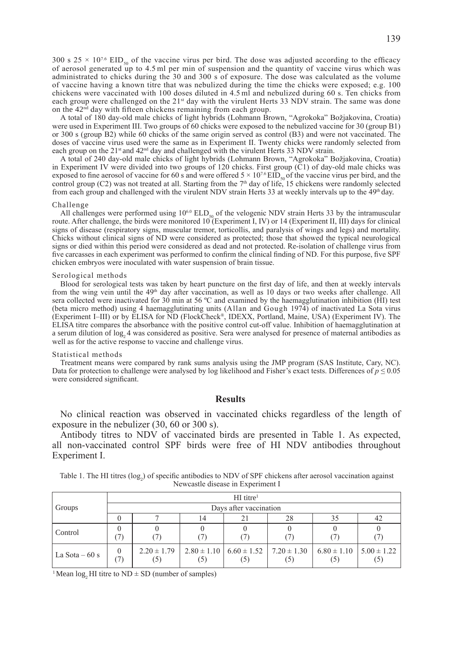300 s 25  $\times$  10<sup>7.6</sup> EID<sub>50</sub> of the vaccine virus per bird. The dose was adjusted according to the efficacy of aerosol generated up to 4.5 ml per min of suspension and the quantity of vaccine virus which was administrated to chicks during the 30 and 300 s of exposure. The dose was calculated as the volume of vaccine having a known titre that was nebulized during the time the chicks were exposed; e.g. 100 chickens were vaccinated with 100 doses diluted in 4.5 ml and nebulized during 60 s. Ten chicks from each group were challenged on the 21<sup>st</sup> day with the virulent Herts 33 NDV strain. The same was done on the  $42<sup>n<sub>d</sub></sup>$  day with fifteen chickens remaining from each group.

A total of 180 day-old male chicks of light hybrids (Lohmann Brown, "Agrokoka" Božjakovina, Croatia) were used in Experiment III. Two groups of 60 chicks were exposed to the nebulized vaccine for 30 (group B1) or 300 s (group B2) while 60 chicks of the same origin served as control (B3) and were not vaccinated. The doses of vaccine virus used were the same as in Experiment II. Twenty chicks were randomly selected from each group on the  $21^{st}$  and  $42^{nd}$  day and challenged with the virulent Herts 33 NDV strain.

A total of 240 day-old male chicks of light hybrids (Lohmann Brown, "Agrokoka" Božjakovina, Croatia) in Experiment IV were divided into two groups of 120 chicks. First group (C1) of day-old male chicks was exposed to fine aerosol of vaccine for 60 s and were offered  $5 \times 10^{76}$  EID<sub>50</sub> of the vaccine virus per bird, and the exposed to fine aerosol of vaccine for 60 s and were offered  $5 \times 10^{76}$  EID<sub>50</sub> of the vaccine vir control group (C2) was not treated at all. Starting from the  $7<sup>th</sup>$  day of life, 15 chickens were randomly selected from each group and challenged with the virulent NDV strain Herts 33 at weekly intervals up to the 49<sup>th</sup> day.

#### Challenge

All challenges were performed using  $10^{60}$  ELD<sub>50</sub> of the velogenic NDV strain Herts 33 by the intramuscular route. After challenge, the birds were monitored 10 (Experiment I, IV) or 14 (Experiment II, III) days for clinical signs of disease (respiratory signs, muscular tremor, torticollis, and paralysis of wings and legs) and mortality. Chicks without clinical signs of ND were considered as protected; those that showed the typical neurological signs or died within this period were considered as dead and not protected. Re-isolation of challenge virus from five carcasses in each experiment was performed to confirm the clinical finding of ND. For this purpose, five SPF chicken embryos were inoculated with water suspension of brain tissue.

### Serological methods

Blood for serological tests was taken by heart puncture on the first day of life, and then at weekly intervals from the wing vein until the  $49<sup>th</sup>$  day after vaccination, as well as 10 days or two weeks after challenge. All sera collected were inactivated for 30 min at 56 °C and examined by the haemagglutination inhibition (HI) test (beta micro method) using 4 haemagglutinating units (Allan and Gough 1974) of inactivated La Sota virus (Experiment I–III) or by ELISA for ND (FlockCheck®, IDEXX, Portland, Maine, USA) (Experiment IV). The ELISA titre compares the absorbance with the positive control cut-off value. Inhibition of haemagglutination at a serum dilution of log<sub>2</sub> 4 was considered as positive. Sera were analysed for presence of maternal antibodies as well as for the active response to vaccine and challenge virus.

#### Statistical methods

Treatment means were compared by rank sums analysis using the JMP program (SAS Institute, Cary, NC). Data for protection to challenge were analysed by log likelihood and Fisher's exact tests. Differences of  $p \le 0.05$ were considered significant.

## **Results**

No clinical reaction was observed in vaccinated chicks regardless of the length of exposure in the nebulizer (30, 60 or 300 s).

Antibody titres to NDV of vaccinated birds are presented in Table 1. As expected, all non-vaccinated control SPF birds were free of HI NDV antibodies throughout Experiment I.

| Table 1. The HI titres (log.) of specific antibodies to NDV of SPF chickens after aerosol vaccination against |  |  |  |                                   |  |  |  |  |
|---------------------------------------------------------------------------------------------------------------|--|--|--|-----------------------------------|--|--|--|--|
|                                                                                                               |  |  |  | Newcastle disease in Experiment I |  |  |  |  |

|                 | $HI$ titre <sup>1</sup> |                        |     |                                                            |     |                                          |     |  |  |  |
|-----------------|-------------------------|------------------------|-----|------------------------------------------------------------|-----|------------------------------------------|-----|--|--|--|
| Groups          | Days after vaccination  |                        |     |                                                            |     |                                          |     |  |  |  |
|                 |                         |                        | 14  |                                                            | 28  | 35                                       | 42  |  |  |  |
| Control         |                         |                        |     |                                                            |     |                                          |     |  |  |  |
| La Sota $-60 s$ | $\theta$<br>71          | $2.20 \pm 1.79$<br>(5) | (5) | $2.80 \pm 1.10$   6.60 $\pm$ 1.52   7.20 $\pm$ 1.30<br>(5) | (5) | $6.80 \pm 1.10$   $5.00 \pm 1.22$<br>(5) | (5) |  |  |  |

<sup>1</sup> Mean log. HI titre to  $ND \pm SD$  (number of samples)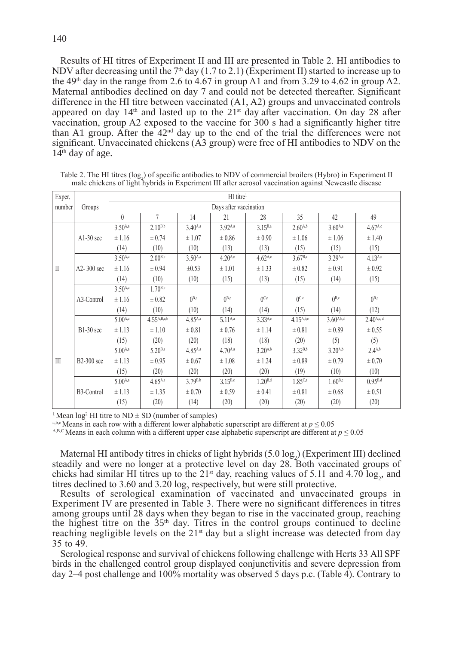Results of HI titres of Experiment II and III are presented in Table 2. HI antibodies to NDV after decreasing until the 7<sup>th</sup> day (1.7 to 2.1) (Experiment II) started to increase up to the 49<sup>th</sup> day in the range from 2.6 to 4.67 in group A1 and from 3.29 to 4.62 in group A2. Maternal antibodies declined on day 7 and could not be detected thereafter. Significant difference in the HI titre between vaccinated (A1, A2) groups and unvaccinated controls appeared on day  $14<sup>th</sup>$  and lasted up to the  $21<sup>st</sup>$  day after vaccination. On day 28 after vaccination, group A2 exposed to the vaccine for 300 s had a significantly higher titre than A1 group. After the  $42<sup>nd</sup>$  day up to the end of the trial the differences were not significant. Unvaccinated chickens (A3 group) were free of HI antibodies to NDV on the  $14<sup>th</sup>$  day of age.

| Exper.       |                | $HI$ titre <sup>1</sup> |                  |              |                     |                       |                     |                |                     |  |  |
|--------------|----------------|-------------------------|------------------|--------------|---------------------|-----------------------|---------------------|----------------|---------------------|--|--|
| number       | Groups         | Days after vaccination  |                  |              |                     |                       |                     |                |                     |  |  |
|              |                | $\theta$                | $\overline{7}$   | 14           | 21                  | 28                    | 35                  | 42             | 49                  |  |  |
|              |                | $3.50^{A,a}$            | $2.10^{B,b}$     | $3.40^{A,a}$ | 3.92A,a             | $3.15^{B,a}$          | $2.60^{A,b}$        | $3.60^{A,a}$   | 4.67 <sup>A,c</sup> |  |  |
|              | $A1-30$ sec    | ± 1.16                  | ± 0.74           | ±1.07        | ± 0.86              | $\pm 0.90$            | $\pm 1.06$          | $\pm 1.06$     | ± 1.40              |  |  |
|              |                | (14)                    | (10)             | (10)         | (13)                | (13)                  | (15)                | (15)           | (15)                |  |  |
|              |                | $3.50^{A,a}$            | $2.00^{B,b}$     | $3.50^{A,a}$ | $4.20^{A,c}$        | $4.62$ <sup>A,c</sup> | 3.67 <sup>B,a</sup> | $3.29^{A,a}$   | $4.13^{A,c}$        |  |  |
| $\mathbb{I}$ | $A2 - 300$ sec | ± 1.16                  | ± 0.94           | $\pm 0.53$   | $\pm 1.01$          | ± 1.33                | ± 0.82              | $\pm 0.91$     | $\pm 0.92$          |  |  |
|              |                | (14)                    | (10)             | (10)         | (15)                | (13)                  | (15)                | (14)           | (15)                |  |  |
|              | A3-Control     | $3.50^{A,a}$            | $1.70^{B,b}$     |              |                     |                       |                     |                |                     |  |  |
|              |                | ± 1.16                  | $\pm 0.82$       | $($ B,c      | $($ <sup>B,c</sup>  | 0 <sup>C,c</sup>      | 0 <sup>C,c</sup>    | $($ B,c        | $0^{B,c}$           |  |  |
|              |                | (14)                    | (10)             | (10)         | (14)                | (14)                  | (15)                | (14)           | (12)                |  |  |
|              | $B1-30$ sec    | $5.00^{A,a}$            | $4.55^{A,B,a,b}$ | $4.85^{A,a}$ | $5.11^{A,a}$        | $3.33^{A,c}$          | $4.15^{A,b,c}$      | $3.60^{A,b,d}$ | $2.40^{A,c,d}$      |  |  |
|              |                | ± 1.13                  | $\pm 1.10$       | ± 0.81       | ± 0.76              | ± 1.14                | ± 0.81              | $\pm 0.89$     | ± 0.55              |  |  |
|              |                | (15)                    | (20)             | (20)         | (18)                | (18)                  | (20)                | (5)            | (5)                 |  |  |
|              |                | $5.00^{A,a}$            | $5.20^{B,a}$     | $4.85^{A,a}$ | 4.70 <sup>A,a</sup> | $3.20^{A,b}$          | $3.32^{B,b}$        | $3.20^{A,b}$   | $2.4^{A,b}$         |  |  |
| III          | $B2-300$ sec   | ± 1.13                  | ± 0.95           | $\pm 0.67$   | ±1.08               | ± 1.24                | $\pm 0.89$          | ± 0.79         | ± 0.70              |  |  |
|              |                | (15)                    | (20)             | (20)         | (20)                | (20)                  | (19)                | (10)           | (10)                |  |  |
|              |                | $5.00^{A,a}$            | $4.65^{A,a}$     | $3.79^{B,b}$ | $3.15^{B,c}$        | $1.20^{B,d}$          | 1.85c.e             | $1.60^{B,e}$   | $0.95^{B,d}$        |  |  |
|              | B3-Control     | ± 1.13                  | ± 1.35           | ± 0.70       | ± 0.59              | $\pm 0.41$            | ± 0.81              | $\pm 0.68$     | ± 0.51              |  |  |
|              |                | (15)                    | (20)             | (14)         | (20)                | (20)                  | (20)                | (20)           | (20)                |  |  |

Table 2. The HI titres  $(\log_2)$  of specific antibodies to NDV of commercial broilers (Hybro) in Experiment II male chickens of light hybrids in Experiment III after aerosol vaccination against Newcastle disease

<sup>1</sup> Mean  $log^2$  HI titre to ND  $\pm$  SD (number of samples)

<sup>a,b,c</sup> Means in each row with a different lower alphabetic superscript are different at  $p \le 0.05$ 

A,B,C Means in each column with a different upper case alphabetic superscript are different at  $p \le 0.05$ 

Maternal HI antibody titres in chicks of light hybrids  $(5.0 \log_2)($  Experiment III) declined steadily and were no longer at a protective level on day 28. Both vaccinated groups of chicks had similar HI titres up to the  $21^{st}$  day, reaching values of 5.11 and 4.70 log<sub>2</sub>, and titres declined to 3.60 and 3.20  $log_2$  respectively, but were still protective.

Results of serological examination of vaccinated and unvaccinated groups in Experiment IV are presented in Table 3. There were no significant differences in titres among groups until 28 days when they began to rise in the vaccinated group, reaching the highest titre on the  $35<sup>th</sup>$  day. Titres in the control groups continued to decline reaching negligible levels on the  $21<sup>st</sup>$  day but a slight increase was detected from day 35 to 49.

Serological response and survival of chickens following challenge with Herts 33 All SPF birds in the challenged control group displayed conjunctivitis and severe depression from day 2–4 post challenge and 100% mortality was observed 5 days p.c. (Table 4). Contrary to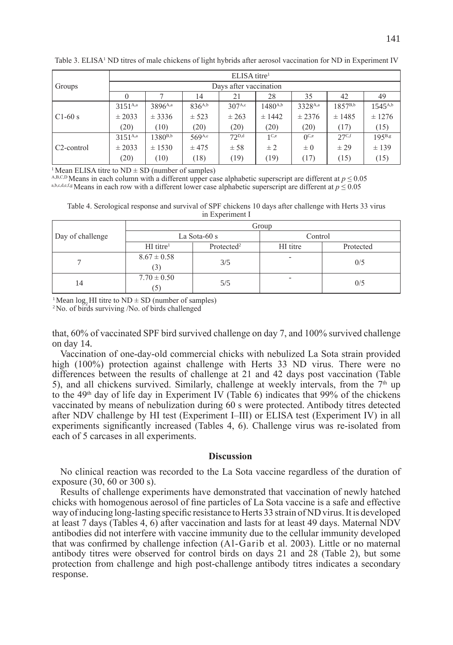|                         | $ELLSA$ titre <sup>1</sup> |                     |             |                    |                  |                  |                   |              |  |  |  |
|-------------------------|----------------------------|---------------------|-------------|--------------------|------------------|------------------|-------------------|--------------|--|--|--|
| Groups                  | Days after vaccination     |                     |             |                    |                  |                  |                   |              |  |  |  |
|                         |                            |                     | 14          | 21                 | 28               | 35               | 42                | 49           |  |  |  |
|                         | $3151^{A,a}$               | 3896 <sup>A,a</sup> | $836^{A,b}$ | 307 <sup>A,c</sup> | $1480^{A,b}$     | 3328A,a          | $1857^{B,b}$      | $1545^{A,b}$ |  |  |  |
| $C1-60s$                | ± 2033                     | ± 3336              | ± 523       | $\pm 263$          | ± 1442           | ± 2376           | ± 1485            | ± 1276       |  |  |  |
|                         | (20)                       | (10)                | (20)        | (20)               | (20)             | (20)             | (17)              | (15)         |  |  |  |
|                         | $3151^{A,a}$               | $1380^{B,b}$        | 569A,c      | $72^{D,d}$         | 1 <sub>C,e</sub> | $0^{\text{C,e}}$ | 27 <sup>C,f</sup> | 195B,g       |  |  |  |
| C <sub>2</sub> -control | ± 2033                     | ± 1530              | ± 475       | ± 58               | $\pm 2$          | $\pm 0$          | ± 29              | ± 139        |  |  |  |
|                         | (20)                       | (10)                | (18)        | (19)               | (19)             | (17)             | (15)              | (15)         |  |  |  |

Table 3. ELISA<sup>1</sup> ND titres of male chickens of light hybrids after aerosol vaccination for ND in Experiment IV

<sup>1</sup> Mean ELISA titre to  $ND \pm SD$  (number of samples)

A,B,C,D Means in each column with a different upper case alphabetic superscript are different at  $p \le 0.05$ a,b,c,d,e,f,g Means in each row with a different lower case alphabetic superscript are different at *p* ≤ 0.05

Table 4. Serological response and survival of SPF chickens 10 days after challenge with Herts 33 virus in Experiment I

|                  | Group                   |                        |          |           |  |  |  |  |
|------------------|-------------------------|------------------------|----------|-----------|--|--|--|--|
| Day of challenge |                         | La Sota-60 s           | Control  |           |  |  |  |  |
|                  | $HI$ titre <sup>1</sup> | Protected <sup>2</sup> | HI titre | Protected |  |  |  |  |
|                  | $8.67 \pm 0.58$         | 3/5                    | -        | 0/5       |  |  |  |  |
|                  | (S)                     |                        |          |           |  |  |  |  |
| 14               | $7.70 \pm 0.50$         | 5/5                    | -        | 0/5       |  |  |  |  |
|                  | (5)                     |                        |          |           |  |  |  |  |

<sup>1</sup> Mean log<sub>2</sub> HI titre to ND  $\pm$  SD (number of samples) <sup>2</sup> No. of birds surviving /No. of birds challenged

that, 60% of vaccinated SPF bird survived challenge on day 7, and 100% survived challenge on day 14.

Vaccination of one-day-old commercial chicks with nebulized La Sota strain provided high (100%) protection against challenge with Herts 33 ND virus. There were no differences between the results of challenge at 21 and 42 days post vaccination (Table 5), and all chickens survived. Similarly, challenge at weekly intervals, from the  $7<sup>th</sup>$  up to the 49<sup>th</sup> day of life day in Experiment IV (Table 6) indicates that  $99\%$  of the chickens vaccinated by means of nebulization during 60 s were protected. Antibody titres detected after NDV challenge by HI test (Experiment I–III) or ELISA test (Experiment IV) in all experiments significantly increased (Tables 4, 6). Challenge virus was re-isolated from each of 5 carcases in all experiments.

## **Discussion**

No clinical reaction was recorded to the La Sota vaccine regardless of the duration of exposure (30, 60 or 300 s).

Results of challenge experiments have demonstrated that vaccination of newly hatched chicks with homogenous aerosol of fine particles of La Sota vaccine is a safe and effective way of inducing long-lasting specific resistance to Herts 33 strain of ND virus. It is developed at least 7 days (Tables 4, 6) after vaccination and lasts for at least 49 days. Maternal NDV antibodies did not interfere with vaccine immunity due to the cellular immunity developed that was confirmed by challenge infection (Al-Garib et al. 2003). Little or no maternal antibody titres were observed for control birds on days 21 and 28 (Table 2), but some protection from challenge and high post-challenge antibody titres indicates a secondary response.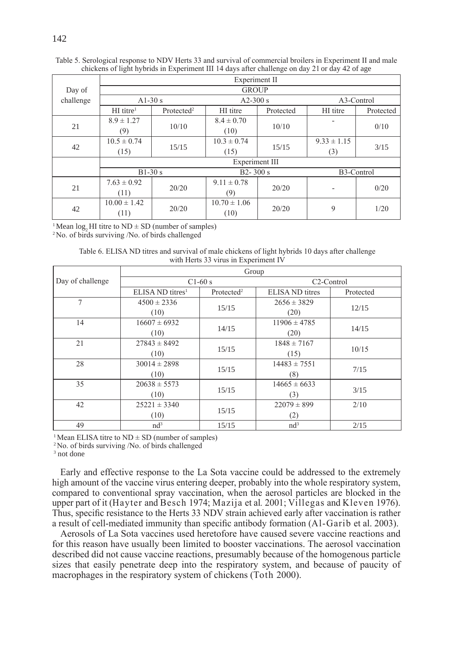|           | Experiment II           |                        |                  |           |                 |           |  |  |  |  |
|-----------|-------------------------|------------------------|------------------|-----------|-----------------|-----------|--|--|--|--|
| Day of    | <b>GROUP</b>            |                        |                  |           |                 |           |  |  |  |  |
| challenge | A $1-30s$               |                        | $A2-300$ s       |           | A3-Control      |           |  |  |  |  |
|           | $HI$ titre <sup>1</sup> | Protected <sup>2</sup> | HI titre         | Protected | HI titre        | Protected |  |  |  |  |
|           | $8.9 \pm 1.27$          |                        | $8.4 \pm 0.70$   |           |                 |           |  |  |  |  |
| 21        | (9)                     | 10/10                  | (10)             | 10/10     |                 | 0/10      |  |  |  |  |
|           | $10.5 \pm 0.74$         |                        | $10.3 \pm 0.74$  |           | $9.33 \pm 1.15$ |           |  |  |  |  |
| 42        | (15)                    | 15/15                  | (15)             | 15/15     | (3)             | 3/15      |  |  |  |  |
|           | Experiment III          |                        |                  |           |                 |           |  |  |  |  |
|           | $B1-30s$                |                        | $B2 - 300 s$     |           | B3-Control      |           |  |  |  |  |
|           | $7.63 \pm 0.92$         |                        | $9.11 \pm 0.78$  |           |                 |           |  |  |  |  |
| 21        | (11)                    | 20/20                  | (9)              | 20/20     |                 | 0/20      |  |  |  |  |
| 42        | $10.00 \pm 1.42$        |                        | $10.70 \pm 1.06$ |           |                 |           |  |  |  |  |
|           | (11)                    | 20/20                  | (10)             | 20/20     | 9               | 1/20      |  |  |  |  |

Table 5. Serological response to NDV Herts 33 and survival of commercial broilers in Experiment II and male chickens of light hybrids in Experiment III 14 days after challenge on day 21 or day 42 of age

<sup>1</sup> Mean log<sub>2</sub> HI titre to ND  $\pm$  SD (number of samples) <sup>2</sup> No. of birds surviving /No. of birds challenged

Table 6. ELISA ND titres and survival of male chickens of light hybrids 10 days after challenge with Herts 33 virus in Experiment IV

|                  | Group                         |                        |                         |           |  |  |  |  |
|------------------|-------------------------------|------------------------|-------------------------|-----------|--|--|--|--|
| Day of challenge |                               | $C1-60s$               | C <sub>2</sub> -Control |           |  |  |  |  |
|                  | $ELSA ND$ titres <sup>1</sup> | Protected <sup>2</sup> | ELISA ND titres         | Protected |  |  |  |  |
| 7                | $4500 \pm 2336$               |                        | $2656 \pm 3829$         |           |  |  |  |  |
|                  | (10)                          | 15/15                  | (20)                    | 12/15     |  |  |  |  |
| 14               | $16607 \pm 6932$              |                        | $11906 \pm 4785$        |           |  |  |  |  |
|                  | (10)                          | 14/15                  | (20)                    | 14/15     |  |  |  |  |
| 21               | $27843 \pm 8492$              |                        | $1848 \pm 7167$         |           |  |  |  |  |
|                  | (10)                          | 15/15                  | (15)                    | 10/15     |  |  |  |  |
| 28               | $30014 \pm 2898$              |                        | $14483 \pm 7551$        |           |  |  |  |  |
|                  | (10)                          | 15/15                  | (8)                     | 7/15      |  |  |  |  |
| 35               | $20638 \pm 5573$              |                        | $14665 \pm 6633$        |           |  |  |  |  |
|                  | (10)                          | 15/15                  | (3)                     | 3/15      |  |  |  |  |
| 42               | $25221 \pm 3340$              |                        | $22079 \pm 899$         | 2/10      |  |  |  |  |
|                  | (10)                          | 15/15                  | (2)                     |           |  |  |  |  |
| 49               | $nd^3$                        | 15/15                  | $nd^3$                  | 2/15      |  |  |  |  |

<sup>1</sup> Mean ELISA titre to  $ND \pm SD$  (number of samples)

<sup>2</sup>No. of birds surviving /No. of birds challenged

3 not done

Early and effective response to the La Sota vaccine could be addressed to the extremely high amount of the vaccine virus entering deeper, probably into the whole respiratory system, compared to conventional spray vaccination, when the aerosol particles are blocked in the upper part of it (Hayter and Besch 1974; Mazija et al*.* 2001; Villegas and Kleven 1976). Thus, specific resistance to the Herts 33 NDV strain achieved early after vaccination is rather a result of cell-mediated immunity than specific antibody formation (Al-Garib et al. 2003).

Aerosols of La Sota vaccines used heretofore have caused severe vaccine reactions and for this reason have usually been limited to booster vaccinations. The aerosol vaccination described did not cause vaccine reactions, presumably because of the homogenous particle sizes that easily penetrate deep into the respiratory system, and because of paucity of macrophages in the respiratory system of chickens (Toth 2000).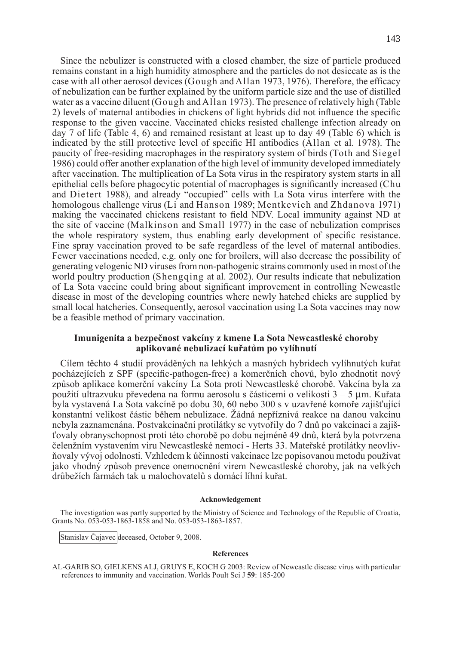Since the nebulizer is constructed with a closed chamber, the size of particle produced remains constant in a high humidity atmosphere and the particles do not desiccate as is the case with all other aerosol devices (Gough and Allan 1973, 1976). Therefore, the efficacy of nebulization can be further explained by the uniform particle size and the use of distilled water as a vaccine diluent (Gough and Allan 1973). The presence of relatively high (Table 2) levels of maternal antibodies in chickens of light hybrids did not influence the specific response to the given vaccine. Vaccinated chicks resisted challenge infection already on day 7 of life (Table 4, 6) and remained resistant at least up to day 49 (Table 6) which is indicated by the still protective level of specific HI antibodies (Allan et al. 1978). The paucity of free-residing macrophages in the respiratory system of birds (Toth and Siegel 1986) could offer another explanation of the high level of immunity developed immediately after vaccination. The multiplication of La Sota virus in the respiratory system starts in all epithelial cells before phagocytic potential of macrophages is significantly increased (Chu and Dietert 1988), and already "occupied" cells with La Sota virus interfere with the homologous challenge virus (Li and Hanson 1989; Mentkevich and Zhdanova 1971) making the vaccinated chickens resistant to field NDV. Local immunity against ND at the site of vaccine (Malkinson and Small 1977) in the case of nebulization comprises the whole respiratory system, thus enabling early development of specific resistance. Fine spray vaccination proved to be safe regardless of the level of maternal antibodies. Fewer vaccinations needed, e.g. only one for broilers, will also decrease the possibility of generating velogenic ND viruses from non-pathogenic strains commonly used in most of the world poultry production (Shengqing at al. 2002). Our results indicate that nebulization of La Sota vaccine could bring about significant improvement in controlling Newcastle disease in most of the developing countries where newly hatched chicks are supplied by small local hatcheries. Consequently, aerosol vaccination using La Sota vaccines may now be a feasible method of primary vaccination.

## **Imunigenita a bezpečnost vakcíny z kmene La Sota Newcastleské choroby aplikované nebulizací kuřatům po vylíhnutí**

Cílem těchto 4 studií prováděných na lehkých a masných hybridech vylíhnutých kuřat pocházejících z SPF (specific-pathogen-free) a komerčních chovů, bylo zhodnotit nový způsob aplikace komerční vakcíny La Sota proti Newcastleské chorobě. Vakcína byla za použití ultrazvuku převedena na formu aerosolu s částicemi o velikosti  $3 - 5 \mu$ m. Kuřata byla vystavená La Sota vakcíně po dobu 30, 60 nebo 300 s v uzavřené komoře zajišťující konstantní velikost částic během nebulizace. Žádná nepříznivá reakce na danou vakcínu nebyla zaznamenána. Postvakcinační protilátky se vytvořily do 7 dnů po vakcinaci a zajišťovaly obranyschopnost proti této chorobě po dobu nejméně 49 dnů, která byla potvrzena čelenžním vystavením viru Newcastleské nemoci - Herts 33. Mateřské protilátky neovlivňovaly vývoj odolnosti. Vzhledem k účinnosti vakcinace lze popisovanou metodu používat jako vhodný způsob prevence onemocnění virem Newcastleské choroby, jak na velkých drůbežích farmách tak u malochovatelů s domácí líhní kuřat.

### **Acknowledgement**

The investigation was partly supported by the Ministry of Science and Technology of the Republic of Croatia, Grants No. 053-053-1863-1858 and No. 053-053-1863-1857.

Stanislav Čajavec deceased, October 9, 2008.

#### **References**

Al-Garib SO, Gielkens ALJ, Gruys E, Koch G 2003: Review of Newcastle disease virus with particular references to immunity and vaccination. Worlds Poult Sci J **59**: 185-200